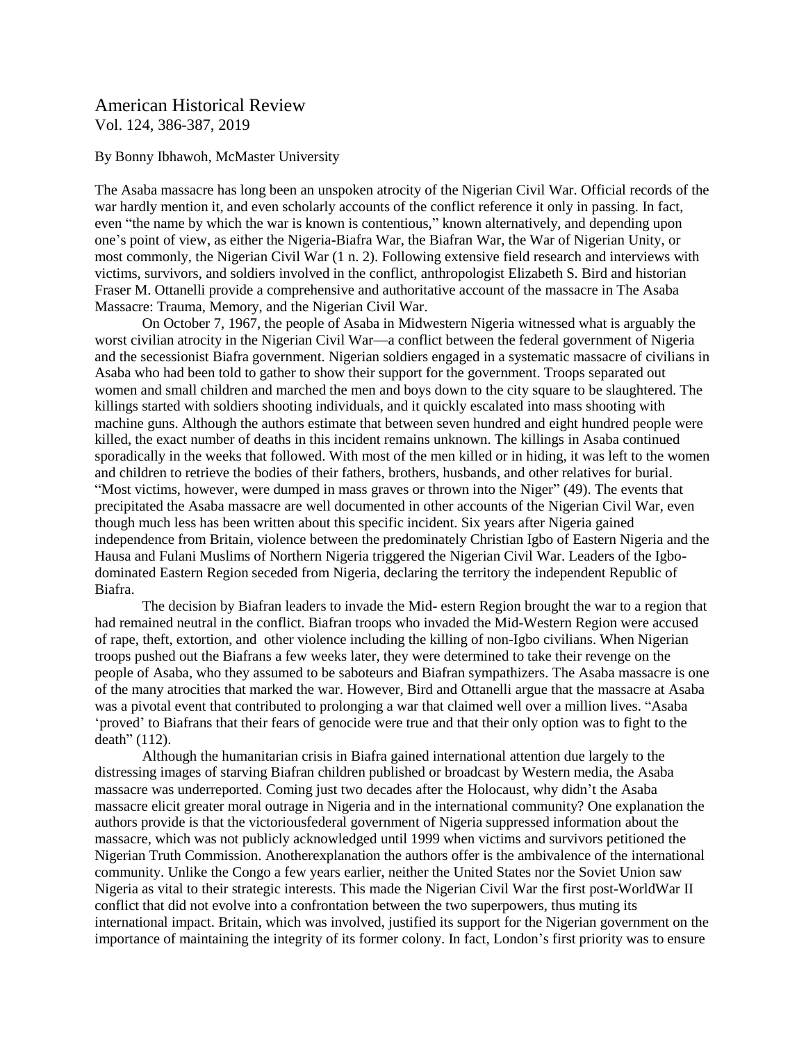## American Historical Review Vol. 124, 386-387, 2019

## By Bonny Ibhawoh, McMaster University

The Asaba massacre has long been an unspoken atrocity of the Nigerian Civil War. Official records of the war hardly mention it, and even scholarly accounts of the conflict reference it only in passing. In fact, even "the name by which the war is known is contentious," known alternatively, and depending upon one's point of view, as either the Nigeria-Biafra War, the Biafran War, the War of Nigerian Unity, or most commonly, the Nigerian Civil War (1 n. 2). Following extensive field research and interviews with victims, survivors, and soldiers involved in the conflict, anthropologist Elizabeth S. Bird and historian Fraser M. Ottanelli provide a comprehensive and authoritative account of the massacre in The Asaba Massacre: Trauma, Memory, and the Nigerian Civil War.

On October 7, 1967, the people of Asaba in Midwestern Nigeria witnessed what is arguably the worst civilian atrocity in the Nigerian Civil War—a conflict between the federal government of Nigeria and the secessionist Biafra government. Nigerian soldiers engaged in a systematic massacre of civilians in Asaba who had been told to gather to show their support for the government. Troops separated out women and small children and marched the men and boys down to the city square to be slaughtered. The killings started with soldiers shooting individuals, and it quickly escalated into mass shooting with machine guns. Although the authors estimate that between seven hundred and eight hundred people were killed, the exact number of deaths in this incident remains unknown. The killings in Asaba continued sporadically in the weeks that followed. With most of the men killed or in hiding, it was left to the women and children to retrieve the bodies of their fathers, brothers, husbands, and other relatives for burial. "Most victims, however, were dumped in mass graves or thrown into the Niger" (49). The events that precipitated the Asaba massacre are well documented in other accounts of the Nigerian Civil War, even though much less has been written about this specific incident. Six years after Nigeria gained independence from Britain, violence between the predominately Christian Igbo of Eastern Nigeria and the Hausa and Fulani Muslims of Northern Nigeria triggered the Nigerian Civil War. Leaders of the Igbodominated Eastern Region seceded from Nigeria, declaring the territory the independent Republic of Biafra.

The decision by Biafran leaders to invade the Mid- estern Region brought the war to a region that had remained neutral in the conflict. Biafran troops who invaded the Mid-Western Region were accused of rape, theft, extortion, and other violence including the killing of non-Igbo civilians. When Nigerian troops pushed out the Biafrans a few weeks later, they were determined to take their revenge on the people of Asaba, who they assumed to be saboteurs and Biafran sympathizers. The Asaba massacre is one of the many atrocities that marked the war. However, Bird and Ottanelli argue that the massacre at Asaba was a pivotal event that contributed to prolonging a war that claimed well over a million lives. "Asaba 'proved' to Biafrans that their fears of genocide were true and that their only option was to fight to the death" (112).

Although the humanitarian crisis in Biafra gained international attention due largely to the distressing images of starving Biafran children published or broadcast by Western media, the Asaba massacre was underreported. Coming just two decades after the Holocaust, why didn't the Asaba massacre elicit greater moral outrage in Nigeria and in the international community? One explanation the authors provide is that the victoriousfederal government of Nigeria suppressed information about the massacre, which was not publicly acknowledged until 1999 when victims and survivors petitioned the Nigerian Truth Commission. Anotherexplanation the authors offer is the ambivalence of the international community. Unlike the Congo a few years earlier, neither the United States nor the Soviet Union saw Nigeria as vital to their strategic interests. This made the Nigerian Civil War the first post-WorldWar II conflict that did not evolve into a confrontation between the two superpowers, thus muting its international impact. Britain, which was involved, justified its support for the Nigerian government on the importance of maintaining the integrity of its former colony. In fact, London's first priority was to ensure